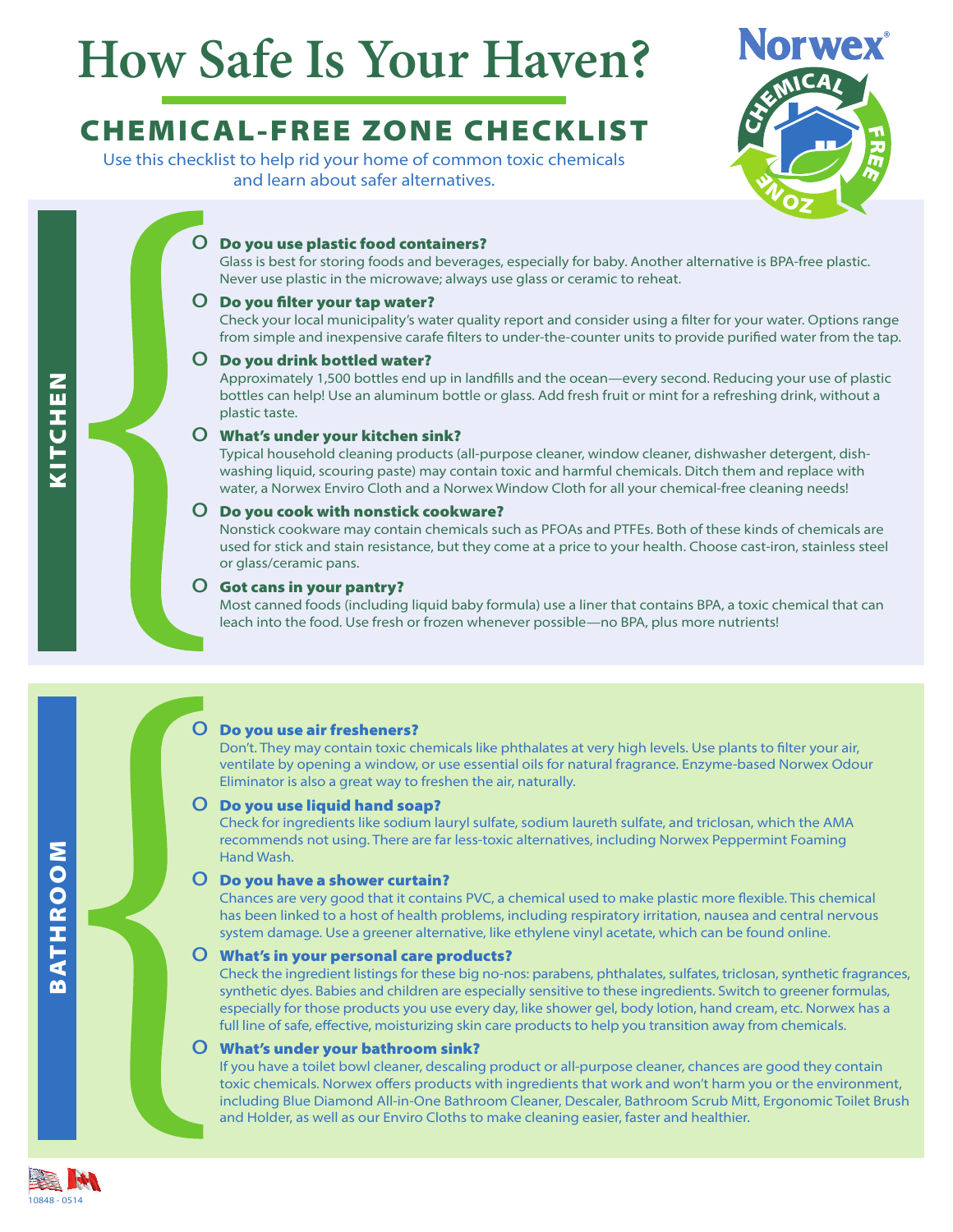# **How Safe Is Your Haven?**

# CHEMICAL-FREE ZONE CHECKLIST

Use this checklist to help rid your home of common toxic chemicals and learn about safer alternatives.



# O Do you use plastic food containers?

Glass is best for storing foods and beverages, especially for baby. Another alternative is BPA-free plastic. Never use plastic in the microwave; always use glass or ceramic to reheat.

#### O Do you filter your tap water?

Check your local municipality's water quality report and consider using a filter for your water. Options range from simple and inexpensive carafe filters to under-the-counter units to provide purified water from the tap.

#### O Do you drink bottled water?

Approximately 1,500 bottles end up in landfills and the ocean—every second. Reducing your use of plastic bottles can help! Use an aluminum bottle or glass. Add fresh fruit or mint for a refreshing drink, without a plastic taste.

#### o What's under your kitchen sink?

Typical household cleaning products (all-purpose cleaner, window cleaner, dishwasher detergent, dishwashing liquid, scouring paste) may contain toxic and harmful chemicals. Ditch them and replace with water, a Norwex Enviro Cloth and a Norwex Window Cloth for all your chemical-free cleaning needs!

#### O Do you cook with nonstick cookware?

Nonstick cookware may contain chemicals such as PFOAs and PTFEs. Both of these kinds of chemicals are used for stick and stain resistance, but they come at a price to your health. Choose cast-iron, stainless steel or glass/ceramic pans.

#### O Got cans in your pantry?

Most canned foods (including liquid baby formula) use a liner that contains BPA, a toxic chemical that can leach into the food. Use fresh or frozen whenever possible—no BPA, plus more nutrients!

# O Do you use air fresheners?

Don't. They may contain toxic chemicals like phthalates at very high levels. Use plants to filter your air, ventilate by opening a window, or use essential oils for natural fragrance. Enzyme-based Norwex Odour Eliminator is also a great way to freshen the air, naturally.

# O Do you use liquid hand soap?

Check for ingredients like sodium lauryl sulfate, sodium laureth sulfate, and triclosan, which the AMA recommends not using. There are far less-toxic alternatives, including Norwex Peppermint Foaming Hand Wash.

# O Do you have a shower curtain?

Chances are very good that it contains PVC, a chemical used to make plastic more flexible. This chemical has been linked to a host of health problems, including respiratory irritation, nausea and central nervous system damage. Use a greener alternative, like ethylene vinyl acetate, which can be found online.

# $O$  What's in your personal care products?

Check the ingredient listings for these big no-nos: parabens, phthalates, sulfates, triclosan, synthetic fragrances, synthetic dyes. Babies and children are especially sensitive to these ingredients. Switch to greener formulas, especially for those products you use every day, like shower gel, body lotion, hand cream, etc. Norwex has a full line of safe, effective, moisturizing skin care products to help you transition away from chemicals.

# o What's under your bathroom sink?

If you have a toilet bowl cleaner, descaling product or all-purpose cleaner, chances are good they contain toxic chemicals. Norwex offers products with ingredients that work and won't harm you or the environment, including Blue Diamond All-in-One Bathroom Cleaner, Descaler, Bathroom Scrub Mitt, Ergonomic Toilet Brush and Holder, as well as our Enviro Cloths to make cleaning easier, faster and healthier.



BATHROOM

**BATHROOM**